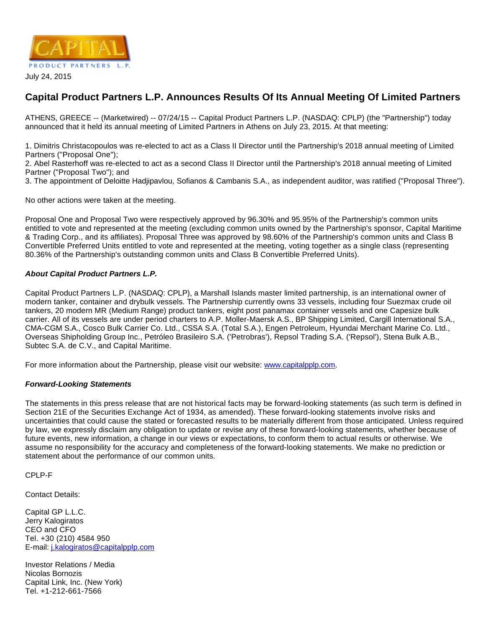

July 24, 2015

## **Capital Product Partners L.P. Announces Results Of Its Annual Meeting Of Limited Partners**

ATHENS, GREECE -- (Marketwired) -- 07/24/15 -- Capital Product Partners L.P. (NASDAQ: CPLP) (the "Partnership") today announced that it held its annual meeting of Limited Partners in Athens on July 23, 2015. At that meeting:

1. Dimitris Christacopoulos was re-elected to act as a Class II Director until the Partnership's 2018 annual meeting of Limited Partners ("Proposal One");

2. Abel Rasterhoff was re-elected to act as a second Class II Director until the Partnership's 2018 annual meeting of Limited Partner ("Proposal Two"); and

3. The appointment of Deloitte Hadjipavlou, Sofianos & Cambanis S.A., as independent auditor, was ratified ("Proposal Three").

No other actions were taken at the meeting.

Proposal One and Proposal Two were respectively approved by 96.30% and 95.95% of the Partnership's common units entitled to vote and represented at the meeting (excluding common units owned by the Partnership's sponsor, Capital Maritime & Trading Corp., and its affiliates). Proposal Three was approved by 98.60% of the Partnership's common units and Class B Convertible Preferred Units entitled to vote and represented at the meeting, voting together as a single class (representing 80.36% of the Partnership's outstanding common units and Class B Convertible Preferred Units).

## **About Capital Product Partners L.P.**

Capital Product Partners L.P. (NASDAQ: CPLP), a Marshall Islands master limited partnership, is an international owner of modern tanker, container and drybulk vessels. The Partnership currently owns 33 vessels, including four Suezmax crude oil tankers, 20 modern MR (Medium Range) product tankers, eight post panamax container vessels and one Capesize bulk carrier. All of its vessels are under period charters to A.P. Moller-Maersk A.S., BP Shipping Limited, Cargill International S.A., CMA-CGM S.A., Cosco Bulk Carrier Co. Ltd., CSSA S.A. (Total S.A.), Engen Petroleum, Hyundai Merchant Marine Co. Ltd., Overseas Shipholding Group Inc., Petróleo Brasileiro S.A. ('Petrobras'), Repsol Trading S.A. ('Repsol'), Stena Bulk A.B., Subtec S.A. de C.V., and Capital Maritime.

For more information about the Partnership, please visit our website: [www.capitalpplp.com](http://www.capitalpplp.com/).

## **Forward-Looking Statements**

The statements in this press release that are not historical facts may be forward-looking statements (as such term is defined in Section 21E of the Securities Exchange Act of 1934, as amended). These forward-looking statements involve risks and uncertainties that could cause the stated or forecasted results to be materially different from those anticipated. Unless required by law, we expressly disclaim any obligation to update or revise any of these forward-looking statements, whether because of future events, new information, a change in our views or expectations, to conform them to actual results or otherwise. We assume no responsibility for the accuracy and completeness of the forward-looking statements. We make no prediction or statement about the performance of our common units.

CPLP-F

Contact Details:

Capital GP L.L.C. Jerry Kalogiratos CEO and CFO Tel. +30 (210) 4584 950 E-mail: [j.kalogiratos@capitalpplp.com](mailto:j.kalogiratos@capitalpplp.com)

Investor Relations / Media Nicolas Bornozis Capital Link, Inc. (New York) Tel. +1-212-661-7566